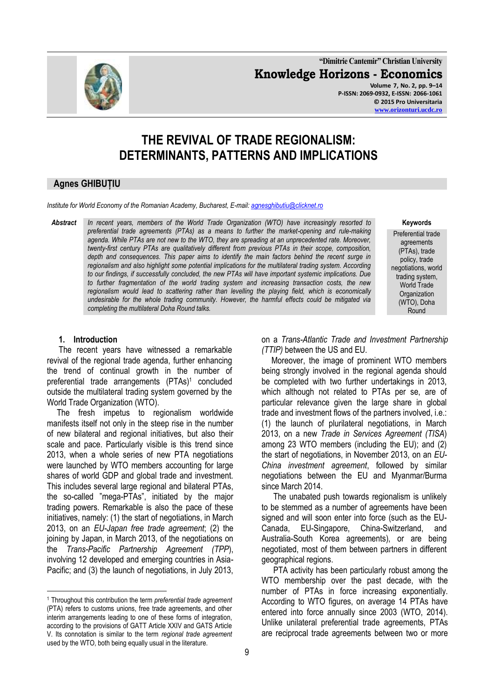**"Dimitrie Cantemir" Christian University Knowledge Horizons - Economics**

**Volume 7, No. 2, pp. 9–14 P-ISSN: 2069-0932, E-ISSN: 2066-1061 © 2015 Pro Universitaria [www.orizonturi.ucdc.ro](http://www.orizonturi.ucdc.ro/)**

# **THE REVIVAL OF TRADE REGIONALISM: DETERMINANTS, PATTERNS AND IMPLICATIONS**

# **Agnes GHIBUȚIU**

*Institute for World Economy of the Romanian Academy, Bucharest, E-mail: [agnesghibutiu@clicknet.ro](mailto:agnesghibutiu@clicknet.ro)*

*Abstract In recent years, members of the World Trade Organization (WTO) have increasingly resorted to preferential trade agreements (PTAs) as a means to further the market-opening and rule-making agenda. While PTAs are not new to the WTO, they are spreading at an unprecedented rate. Moreover, twenty-first century PTAs are qualitatively different from previous PTAs in their scope, composition, depth and consequences. This paper aims to identify the main factors behind the recent surge in regionalism and also highlight some potential implications for the multilateral trading system. According to our findings, if successfully concluded, the new PTAs will have important systemic implications. Due to further fragmentation of the world trading system and increasing transaction costs, the new regionalism would lead to scattering rather than levelling the playing field, which is economically undesirable for the whole trading community. However, the harmful effects could be mitigated via completing the multilateral Doha Round talks.* 

**Keywords**

Preferential trade agreements (PTAs), trade policy, trade negotiations, world trading system, World Trade **Organization** (WTO), Doha Round

# **1. Introduction**

1

The recent years have witnessed a remarkable revival of the regional trade agenda, further enhancing the trend of continual growth in the number of preferential trade arrangements (PTAs)<sup>1</sup> concluded outside the multilateral trading system governed by the World Trade Organization (WTO).

The fresh impetus to regionalism worldwide manifests itself not only in the steep rise in the number of new bilateral and regional initiatives, but also their scale and pace. Particularly visible is this trend since 2013, when a whole series of new PTA negotiations were launched by WTO members accounting for large shares of world GDP and global trade and investment. This includes several large regional and bilateral PTAs, the so-called "mega-PTAs", initiated by the major trading powers. Remarkable is also the pace of these initiatives, namely: (1) the start of negotiations, in March 2013, on an *EU-Japan free trade agreement*; (2) the joining by Japan, in March 2013, of the negotiations on the *Trans-Pacific Partnership Agreement (TPP*), involving 12 developed and emerging countries in Asia-Pacific; and (3) the launch of negotiations, in July 2013,

on a *Trans-Atlantic Trade and Investment Partnership (TTIP)* between the US and EU.

Moreover, the image of prominent WTO members being strongly involved in the regional agenda should be completed with two further undertakings in 2013, which although not related to PTAs per se, are of particular relevance given the large share in global trade and investment flows of the partners involved, i.e.: (1) the launch of plurilateral negotiations, in March 2013, on a new *Trade in Services Agreement (TISA*) among 23 WTO members (including the EU); and (2) the start of negotiations, in November 2013, on an *EU-China investment agreement*, followed by similar negotiations between the EU and Myanmar/Burma since March 2014.

The unabated push towards regionalism is unlikely to be stemmed as a number of agreements have been signed and will soon enter into force (such as the EU-Canada, EU-Singapore, China-Switzerland, and Australia-South Korea agreements), or are being negotiated, most of them between partners in different geographical regions.

PTA activity has been particularly robust among the WTO membership over the past decade, with the number of PTAs in force increasing exponentially. According to WTO figures, on average 14 PTAs have entered into force annually since 2003 (WTO, 2014). Unlike unilateral preferential trade agreements, PTAs are reciprocal trade agreements between two or more



<sup>1</sup> Throughout this contribution the term *preferential trade agreement* (PTA) refers to customs unions, free trade agreements, and other interim arrangements leading to one of these forms of integration, according to the provisions of GATT Article XXIV and GATS Article V. Its connotation is similar to the term *regional trade agreement* used by the WTO, both being equally usual in the literature.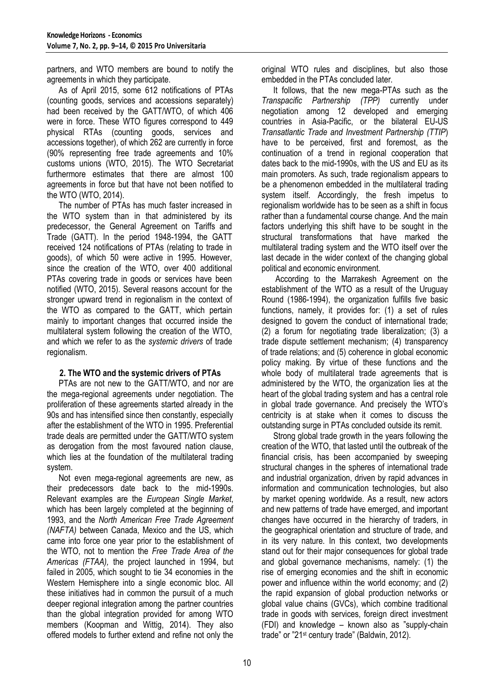partners, and WTO members are bound to notify the agreements in which they participate.

As of April 2015, some 612 notifications of PTAs (counting goods, services and accessions separately) had been received by the GATT/WTO, of which 406 were in force. These WTO figures correspond to 449 physical RTAs (counting goods, services and accessions together), of which 262 are currently in force (90% representing free trade agreements and 10% customs unions (WTO, 2015). The WTO Secretariat furthermore estimates that there are almost 100 agreements in force but that have not been notified to the WTO (WTO, 2014).

The number of PTAs has much faster increased in the WTO system than in that administered by its predecessor, the General Agreement on Tariffs and Trade (GATT). In the period 1948-1994, the GATT received 124 notifications of PTAs (relating to trade in goods), of which 50 were active in 1995. However, since the creation of the WTO, over 400 additional PTAs covering trade in goods or services have been notified (WTO, 2015). Several reasons account for the stronger upward trend in regionalism in the context of the WTO as compared to the GATT, which pertain mainly to important changes that occurred inside the multilateral system following the creation of the WTO, and which we refer to as the *systemic drivers* of trade regionalism.

# **2. The WTO and the systemic drivers of PTAs**

PTAs are not new to the GATT/WTO, and nor are the mega-regional agreements under negotiation. The proliferation of these agreements started already in the 90s and has intensified since then constantly, especially after the establishment of the WTO in 1995. Preferential trade deals are permitted under the GATT/WTO system as derogation from the most favoured nation clause, which lies at the foundation of the multilateral trading system.

Not even mega-regional agreements are new, as their predecessors date back to the mid-1990s. Relevant examples are the *European Single Market*, which has been largely completed at the beginning of 1993, and the *North American Free Trade Agreement (NAFTA)* between Canada, Mexico and the US, which came into force one year prior to the establishment of the WTO, not to mention the *Free Trade Area of the Americas (FTAA),* the project launched in 1994, but failed in 2005, which sought to tie 34 economies in the Western Hemisphere into a single economic bloc. All these initiatives had in common the pursuit of a much deeper regional integration among the partner countries than the global integration provided for among WTO members (Koopman and Wittig, 2014). They also offered models to further extend and refine not only the

original WTO rules and disciplines, but also those embedded in the PTAs concluded later.

It follows, that the new mega-PTAs such as the *Transpacific Partnership (TPP)* currently under negotiation among 12 developed and emerging countries in Asia-Pacific, or the bilateral EU-US *Transatlantic Trade and Investment Partnership (TTIP*) have to be perceived, first and foremost, as the continuation of a trend in regional cooperation that dates back to the mid-1990s, with the US and EU as its main promoters. As such, trade regionalism appears to be a phenomenon embedded in the multilateral trading system itself. Accordingly, the fresh impetus to regionalism worldwide has to be seen as a shift in focus rather than a fundamental course change. And the main factors underlying this shift have to be sought in the structural transformations that have marked the multilateral trading system and the WTO itself over the last decade in the wider context of the changing global political and economic environment.

According to the Marrakesh Agreement on the establishment of the WTO as a result of the Uruguay Round (1986-1994), the organization fulfills five basic functions, namely, it provides for: (1) a set of rules designed to govern the conduct of international trade; (2) a forum for negotiating trade liberalization; (3) a trade dispute settlement mechanism; (4) transparency of trade relations; and (5) coherence in global economic policy making. By virtue of these functions and the whole body of multilateral trade agreements that is administered by the WTO, the organization lies at the heart of the global trading system and has a central role in global trade governance. And precisely the WTO's centricity is at stake when it comes to discuss the outstanding surge in PTAs concluded outside its remit.

Strong global trade growth in the years following the creation of the WTO, that lasted until the outbreak of the financial crisis, has been accompanied by sweeping structural changes in the spheres of international trade and industrial organization, driven by rapid advances in information and communication technologies, but also by market opening worldwide. As a result, new actors and new patterns of trade have emerged, and important changes have occurred in the hierarchy of traders, in the geographical orientation and structure of trade, and in its very nature. In this context, two developments stand out for their major consequences for global trade and global governance mechanisms, namely: (1) the rise of emerging economies and the shift in economic power and influence within the world economy; and (2) the rapid expansion of global production networks or global value chains (GVCs), which combine traditional trade in goods with services, foreign direct investment (FDI) and knowledge – known also as "supply-chain trade" or "21st century trade" (Baldwin, 2012).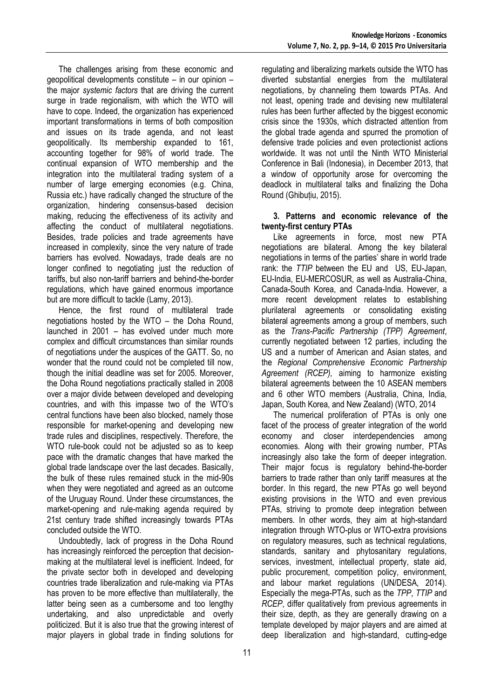The challenges arising from these economic and geopolitical developments constitute – in our opinion – the major *systemic factors* that are driving the current surge in trade regionalism, with which the WTO will have to cope. Indeed, the organization has experienced important transformations in terms of both composition and issues on its trade agenda, and not least geopolitically. Its membership expanded to 161, accounting together for 98% of world trade. The continual expansion of WTO membership and the integration into the multilateral trading system of a number of large emerging economies (e.g. China, Russia etc.) have radically changed the structure of the organization, hindering consensus-based decision making, reducing the effectiveness of its activity and affecting the conduct of multilateral negotiations. Besides, trade policies and trade agreements have increased in complexity, since the very nature of trade barriers has evolved. Nowadays, trade deals are no longer confined to negotiating just the reduction of tariffs, but also non-tariff barriers and behind-the-border regulations, which have gained enormous importance but are more difficult to tackle (Lamy, 2013).

Hence, the first round of multilateral trade negotiations hosted by the WTO – the Doha Round, launched in 2001 – has evolved under much more complex and difficult circumstances than similar rounds of negotiations under the auspices of the GATT. So, no wonder that the round could not be completed till now, though the initial deadline was set for 2005. Moreover, the Doha Round negotiations practically stalled in 2008 over a major divide between developed and developing countries, and with this impasse two of the WTO's central functions have been also blocked, namely those responsible for market-opening and developing new trade rules and disciplines, respectively. Therefore, the WTO rule-book could not be adjusted so as to keep pace with the dramatic changes that have marked the global trade landscape over the last decades. Basically, the bulk of these rules remained stuck in the mid-90s when they were negotiated and agreed as an outcome of the Uruguay Round. Under these circumstances, the market-opening and rule-making agenda required by 21st century trade shifted increasingly towards PTAs concluded outside the WTO.

Undoubtedly, lack of progress in the Doha Round has increasingly reinforced the perception that decisionmaking at the multilateral level is inefficient. Indeed, for the private sector both in developed and developing countries trade liberalization and rule-making via PTAs has proven to be more effective than multilaterally, the latter being seen as a cumbersome and too lengthy undertaking, and also unpredictable and overly politicized. But it is also true that the growing interest of major players in global trade in finding solutions for

regulating and liberalizing markets outside the WTO has diverted substantial energies from the multilateral negotiations, by channeling them towards PTAs. And not least, opening trade and devising new multilateral rules has been further affected by the biggest economic crisis since the 1930s, which distracted attention from the global trade agenda and spurred the promotion of defensive trade policies and even protectionist actions worldwide. It was not until the Ninth WTO Ministerial Conference in Bali (Indonesia), in December 2013, that a window of opportunity arose for overcoming the deadlock in multilateral talks and finalizing the Doha Round (Ghibuțiu, 2015).

#### **3. Patterns and economic relevance of the twenty-first century PTAs**

Like agreements in force, most new PTA negotiations are bilateral. Among the key bilateral negotiations in terms of the parties' share in world trade rank: the *TTIP* between the EU and US, EU-Japan, EU-India, EU-MERCOSUR, as well as Australia-China, Canada-South Korea, and Canada-India. However, a more recent development relates to establishing plurilateral agreements or consolidating existing bilateral agreements among a group of members, such as the *Trans-Pacific Partnership (TPP) Agreement*, currently negotiated between 12 parties, including the US and a number of American and Asian states, and the *Regional Comprehensive Economic Partnership Agreement (RCEP),* aiming to harmonize existing bilateral agreements between the 10 ASEAN members and 6 other WTO members (Australia, China, India, Japan, South Korea, and New Zealand) (WTO, 2014

The numerical proliferation of PTAs is only one facet of the process of greater integration of the world economy and closer interdependencies among economies. Along with their growing number, PTAs increasingly also take the form of deeper integration. Their major focus is regulatory behind-the-border barriers to trade rather than only tariff measures at the border. In this regard, the new PTAs go well beyond existing provisions in the WTO and even previous PTAs, striving to promote deep integration between members. In other words, they aim at high-standard integration through WTO-plus or WTO-extra provisions on regulatory measures, such as technical regulations, standards, sanitary and phytosanitary regulations, services, investment, intellectual property, state aid, public procurement, competition policy, environment, and labour market regulations (UN/DESA, 2014). Especially the mega-PTAs, such as the *TPP*, *TTIP* and *RCEP*, differ qualitatively from previous agreements in their size, depth, as they are generally drawing on a template developed by major players and are aimed at deep liberalization and high-standard, cutting-edge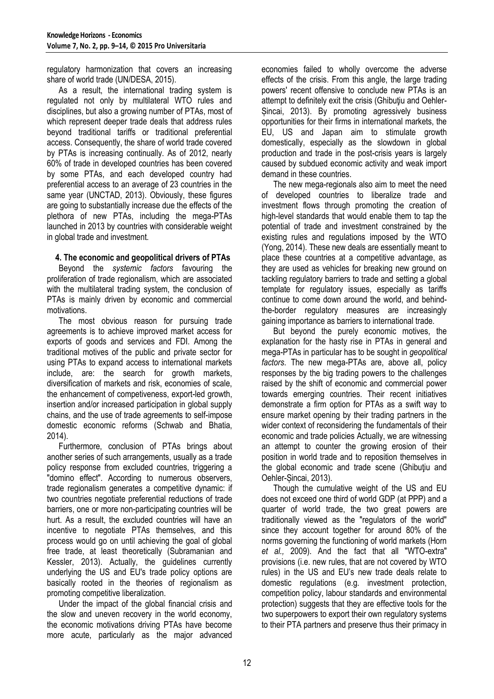regulatory harmonization that covers an increasing share of world trade (UN/DESA, 2015).

As a result, the international trading system is regulated not only by multilateral WTO rules and disciplines, but also a growing number of PTAs, most of which represent deeper trade deals that address rules beyond traditional tariffs or traditional preferential access. Consequently, the share of world trade covered by PTAs is increasing continually. As of 2012, nearly 60% of trade in developed countries has been covered by some PTAs, and each developed country had preferential access to an average of 23 countries in the same year (UNCTAD, 2013). Obviously, these figures are going to substantially increase due the effects of the plethora of new PTAs, including the mega-PTAs launched in 2013 by countries with considerable weight in global trade and investment.

# **4. The economic and geopolitical drivers of PTAs**

Beyond the *systemic factors* favouring the proliferation of trade regionalism, which are associated with the multilateral trading system, the conclusion of PTAs is mainly driven by economic and commercial motivations.

The most obvious reason for pursuing trade agreements is to achieve improved market access for exports of goods and services and FDI. Among the traditional motives of the public and private sector for using PTAs to expand access to international markets include, are: the search for growth markets, diversification of markets and risk, economies of scale, the enhancement of competiveness, export-led growth, insertion and/or increased participation in global supply chains, and the use of trade agreements to self-impose domestic economic reforms (Schwab and Bhatia, 2014).

Furthermore, conclusion of PTAs brings about another series of such arrangements, usually as a trade policy response from excluded countries, triggering a "domino effect". According to numerous observers, trade regionalism generates a competitive dynamic: if two countries negotiate preferential reductions of trade barriers, one or more non-participating countries will be hurt. As a result, the excluded countries will have an incentive to negotiate PTAs themselves, and this process would go on until achieving the goal of global free trade, at least theoretically (Subramanian and Kessler, 2013). Actually, the guidelines currently underlying the US and EU's trade policy options are basically rooted in the theories of regionalism as promoting competitive liberalization.

Under the impact of the global financial crisis and the slow and uneven recovery in the world economy, the economic motivations driving PTAs have become more acute, particularly as the major advanced economies failed to wholly overcome the adverse effects of the crisis. From this angle, the large trading powers' recent offensive to conclude new PTAs is an attempt to definitely exit the crisis (Ghibuţiu and Oehler-Șincai, 2013). By promoting agressively business opportunities for their firms in international markets, the EU, US and Japan aim to stimulate growth domestically, especially as the slowdown in global production and trade in the post-crisis years is largely caused by subdued economic activity and weak import demand in these countries.

The new mega-regionals also aim to meet the need of developed countries to liberalize trade and investment flows through promoting the creation of high-level standards that would enable them to tap the potential of trade and investment constrained by the existing rules and regulations imposed by the WTO (Yong, 2014). These new deals are essentially meant to place these countries at a competitive advantage, as they are used as vehicles for breaking new ground on tackling regulatory barriers to trade and setting a global template for regulatory issues, especially as tariffs continue to come down around the world, and behindthe-border regulatory measures are increasingly gaining importance as barriers to international trade.

But beyond the purely economic motives, the explanation for the hasty rise in PTAs in general and mega-PTAs in particular has to be sought in *geopolitical factors*. The new mega-PTAs are, above all, policy responses by the big trading powers to the challenges raised by the shift of economic and commercial power towards emerging countries. Their recent initiatives demonstrate a firm option for PTAs as a swift way to ensure market opening by their trading partners in the wider context of reconsidering the fundamentals of their economic and trade policies Actually, we are witnessing an attempt to counter the growing erosion of their position in world trade and to reposition themselves in the global economic and trade scene (Ghibuţiu and Oehler-Șincai, 2013).

Though the cumulative weight of the US and EU does not exceed one third of world GDP (at PPP) and a quarter of world trade, the two great powers are traditionally viewed as the "regulators of the world" since they account together for around 80% of the norms governing the functioning of world markets (Horn *et al.,* 2009). And the fact that all "WTO-extra" provisions (i.e. new rules, that are not covered by WTO rules) in the US and EU's new trade deals relate to domestic regulations (e.g. investment protection, competition policy, labour standards and environmental protection) suggests that they are effective tools for the two superpowers to export their own regulatory systems to their PTA partners and preserve thus their primacy in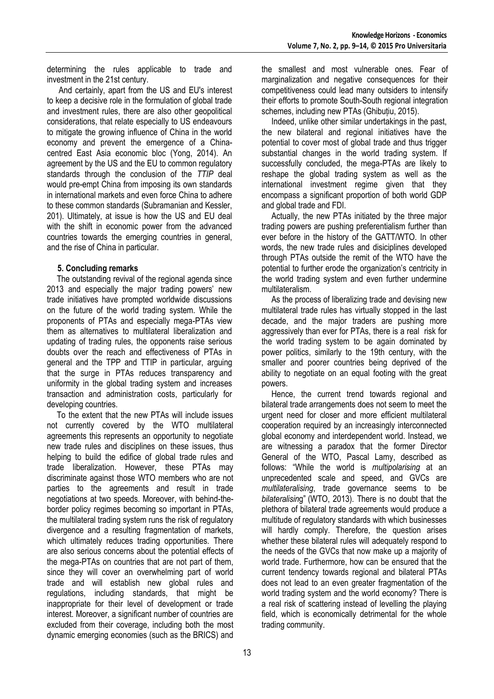determining the rules applicable to trade and investment in the 21st century.

And certainly, apart from the US and EU's interest to keep a decisive role in the formulation of global trade and investment rules, there are also other geopolitical considerations, that relate especially to US endeavours to mitigate the growing influence of China in the world economy and prevent the emergence of a Chinacentred East Asia economic bloc (Yong, 2014). An agreement by the US and the EU to common regulatory standards through the conclusion of the *TTIP* deal would pre-empt China from imposing its own standards in international markets and even force China to adhere to these common standards (Subramanian and Kessler, 201). Ultimately, at issue is how the US and EU deal with the shift in economic power from the advanced countries towards the emerging countries in general, and the rise of China in particular.

#### **5. Concluding remarks**

The outstanding revival of the regional agenda since 2013 and especially the major trading powers' new trade initiatives have prompted worldwide discussions on the future of the world trading system. While the proponents of PTAs and especially mega-PTAs view them as alternatives to multilateral liberalization and updating of trading rules, the opponents raise serious doubts over the reach and effectiveness of PTAs in general and the TPP and TTIP in particular, arguing that the surge in PTAs reduces transparency and uniformity in the global trading system and increases transaction and administration costs, particularly for developing countries.

To the extent that the new PTAs will include issues not currently covered by the WTO multilateral agreements this represents an opportunity to negotiate new trade rules and disciplines on these issues, thus helping to build the edifice of global trade rules and trade liberalization. However, these PTAs may discriminate against those WTO members who are not parties to the agreements and result in trade negotiations at two speeds. Moreover, with behind-theborder policy regimes becoming so important in PTAs, the multilateral trading system runs the risk of regulatory divergence and a resulting fragmentation of markets, which ultimately reduces trading opportunities. There are also serious concerns about the potential effects of the mega-PTAs on countries that are not part of them, since they will cover an overwhelming part of world trade and will establish new global rules and regulations, including standards, that might be inappropriate for their level of development or trade interest. Moreover, a significant number of countries are excluded from their coverage, including both the most dynamic emerging economies (such as the BRICS) and

the smallest and most vulnerable ones. Fear of marginalization and negative consequences for their competitiveness could lead many outsiders to intensify their efforts to promote South-South regional integration schemes, including new PTAs (Ghibuțiu, 2015).

Indeed, unlike other similar undertakings in the past, the new bilateral and regional initiatives have the potential to cover most of global trade and thus trigger substantial changes in the world trading system. If successfully concluded, the mega-PTAs are likely to reshape the global trading system as well as the international investment regime given that they encompass a significant proportion of both world GDP and global trade and FDI.

Actually, the new PTAs initiated by the three major trading powers are pushing preferentialism further than ever before in the history of the GATT/WTO. In other words, the new trade rules and disiciplines developed through PTAs outside the remit of the WTO have the potential to further erode the organization's centricity in the world trading system and even further undermine multilateralism.

As the process of liberalizing trade and devising new multilateral trade rules has virtually stopped in the last decade, and the major traders are pushing more aggressively than ever for PTAs, there is a real risk for the world trading system to be again dominated by power politics, similarly to the 19th century, with the smaller and poorer countries being deprived of the ability to negotiate on an equal footing with the great powers.

Hence, the current trend towards regional and bilateral trade arrangements does not seem to meet the urgent need for closer and more efficient multilateral cooperation required by an increasingly interconnected global economy and interdependent world. Instead, we are witnessing a paradox that the former Director General of the WTO, Pascal Lamy, described as follows: "While the world is *multipolarising* at an unprecedented scale and speed, and GVCs are *multilateralising*, trade governance seems to be *bilateralisin*g" (WTO, 2013). There is no doubt that the plethora of bilateral trade agreements would produce a multitude of regulatory standards with which businesses will hardly comply. Therefore, the question arises whether these bilateral rules will adequately respond to the needs of the GVCs that now make up a majority of world trade. Furthermore, how can be ensured that the current tendency towards regional and bilateral PTAs does not lead to an even greater fragmentation of the world trading system and the world economy? There is a real risk of scattering instead of levelling the playing field, which is economically detrimental for the whole trading community.